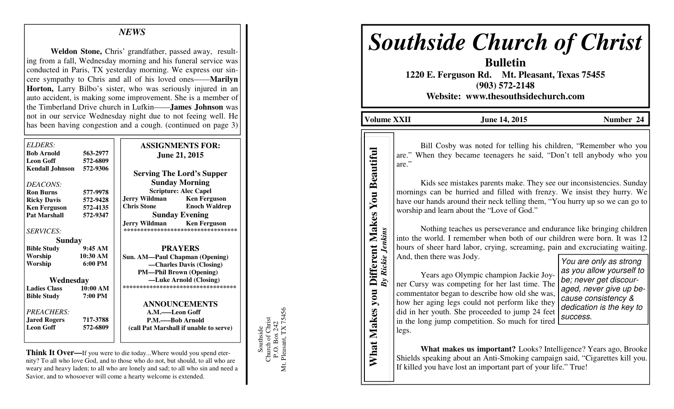## *NEWS*

**Weldon Stone,** Chris' grandfather, passed away, resulting from a fall, Wednesday morning and his funeral service was conducted in Paris, TX yesterday morning. We express our sincere sympathy to Chris and all of his loved ones——**Marilyn Horton,** Larry Bilbo's sister, who was seriously injured in an auto accident, is making some improvement. She is a member of the Timberland Drive church in Lufkin——**James Johnson** was not in our service Wednesday night due to not feeing well. He has been having congestion and a cough. (continued on page 3)

| ELDERS:<br><b>Bob Arnold</b>               | 563-2977             | <b>ASSIGNMENTS FOR:</b><br><b>June 21, 2015</b>                                                                                                       |
|--------------------------------------------|----------------------|-------------------------------------------------------------------------------------------------------------------------------------------------------|
| <b>Leon Goff</b><br><b>Kendall Johnson</b> | 572-6809<br>572-9306 | <b>Serving The Lord's Supper</b>                                                                                                                      |
| DEACONS:                                   |                      | <b>Sunday Morning</b>                                                                                                                                 |
| <b>Ron Burns</b>                           | 577-9978             | <b>Scripture: Alec Capel</b>                                                                                                                          |
| <b>Ricky Davis</b>                         | 572-9428             | <b>Ken Ferguson</b><br>Jerry Wildman                                                                                                                  |
| <b>Ken Ferguson</b>                        | 572-4135             | <b>Chris Stone</b><br><b>Enoch Waldrep</b>                                                                                                            |
| <b>Pat Marshall</b>                        | 572-9347             | <b>Sunday Evening</b>                                                                                                                                 |
| <b>SERVICES:</b><br><b>Sunday</b>          |                      | <b>Jerry Wildman</b><br><b>Ken Ferguson</b><br>***********************************                                                                    |
| <b>Bible Study</b>                         | 9:45AM               | <b>PRAYERS</b>                                                                                                                                        |
|                                            |                      |                                                                                                                                                       |
| Worship                                    | $6:00 \text{ PM}$    |                                                                                                                                                       |
|                                            |                      |                                                                                                                                                       |
| Wednesday                                  |                      |                                                                                                                                                       |
| <b>Ladies Class</b>                        | 10:00 AM             | **********************************                                                                                                                    |
| <b>Bible Study</b>                         | 7:00 PM              |                                                                                                                                                       |
|                                            |                      |                                                                                                                                                       |
| PREACHERS:                                 |                      | A.M.——Leon Goff                                                                                                                                       |
|                                            | 717-3788             | P.M.——Bob Arnold                                                                                                                                      |
| <b>Leon Goff</b>                           | 572-6809             | (call Pat Marshall if unable to serve)                                                                                                                |
| Worship<br><b>Jared Rogers</b>             | 10:30 AM             | <b>Sun. AM—Paul Chapman (Opening)</b><br>-Charles Davis (Closing)<br><b>PM-Phil Brown (Opening)</b><br>-Luke Arnold (Closing)<br><b>ANNOUNCEMENTS</b> |

**Think It Over—**If you were to die today...Where would you spend eternity? To all who love God, and to those who do not, but should, to all who are weary and heavy laden; to all who are lonely and sad; to all who sin and need a Savior, and to whosoever will come a hearty welcome is extended.

Southside<br>Church of Christ<br>P.O. Box 242<br>Mt. Pleasant, TX 75456 Mt. Pleasant, TX 75456 Church of Christ P.O. Box 242 Southside

# *Southside Church of Christ*

**Bulletin 1220 E. Ferguson Rd. Mt. Pleasant, Texas 75455 (903) 572-2148 Website: www.thesouthsidechurch.com** 

**Volume XXII June 14, 2015** Number 24

 Bill Cosby was noted for telling his children, "Remember who you are." When they became teenagers he said, "Don't tell anybody who you are."

 Kids see mistakes parents make. They see our inconsistencies. Sunday mornings can be hurried and filled with frenzy. We insist they hurry. We have our hands around their neck telling them, "You hurry up so we can go to worship and learn about the "Love of God."

 Nothing teaches us perseverance and endurance like bringing children into the world. I remember when both of our children were born. It was 12 hours of sheer hard labor, crying, screaming, pain and excruciating waiting. And, then there was Jody. Mothing teaches us perseverance and endurance like bringing children<br>
into the world. I remember when both of our children were born. It was 12<br>
hours of sheer hard labor, crying, screaming, pain and excruciating waiting<br>

 Years ago Olympic champion Jackie Joyner Cursy was competing for her last time. The commentator began to describe how old she was, how her aging legs could not perform like they did in her youth. She proceeded to jump 24 feet in the long jump competition. So much for tired legs. **EXERCT MAKES SUBDENT WHAT MAKES SUBDENTIFUL AREAD TO THE MAKES SUBDENTIFUL AND MAKES SUBDENTIFUL AND MAKES WORKING THE MAKES WAS MONIFUL AND MAKES WORKING THE MAKES WAS MONIFUL AND MAKES TO THE MAKES AND MAKES THE ONLY NO** 

cause consistency & dedication is the key to success.

**What makes us important?** Looks? Intelligence? Years ago, Brooke Shields speaking about an Anti-Smoking campaign said, "Cigarettes kill you.